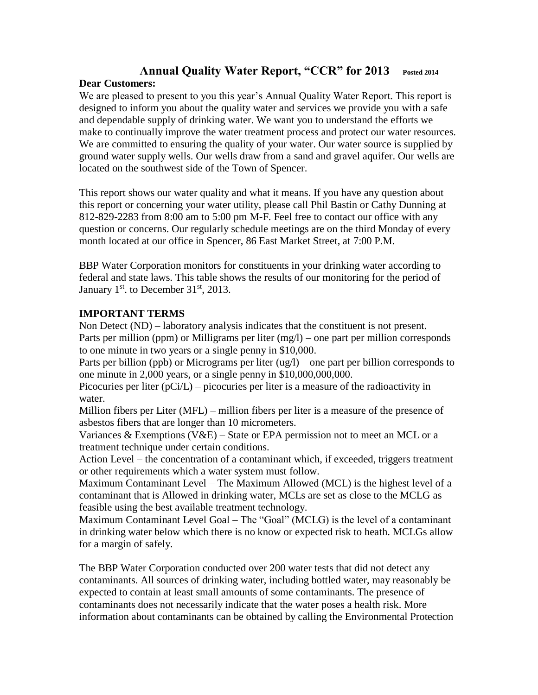## **Annual Quality Water Report, "CCR" for 2013 Posted 2014**

## **Dear Customers:**

We are pleased to present to you this year's Annual Quality Water Report. This report is designed to inform you about the quality water and services we provide you with a safe and dependable supply of drinking water. We want you to understand the efforts we make to continually improve the water treatment process and protect our water resources. We are committed to ensuring the quality of your water. Our water source is supplied by ground water supply wells. Our wells draw from a sand and gravel aquifer. Our wells are located on the southwest side of the Town of Spencer.

This report shows our water quality and what it means. If you have any question about this report or concerning your water utility, please call Phil Bastin or Cathy Dunning at 812-829-2283 from 8:00 am to 5:00 pm M-F. Feel free to contact our office with any question or concerns. Our regularly schedule meetings are on the third Monday of every month located at our office in Spencer, 86 East Market Street, at 7:00 P.M.

BBP Water Corporation monitors for constituents in your drinking water according to federal and state laws. This table shows the results of our monitoring for the period of January  $1<sup>st</sup>$ . to December 31 $<sup>st</sup>$ , 2013.</sup>

## **IMPORTANT TERMS**

Non Detect (ND) – laboratory analysis indicates that the constituent is not present. Parts per million (ppm) or Milligrams per liter (mg/l) – one part per million corresponds to one minute in two years or a single penny in \$10,000.

Parts per billion (ppb) or Micrograms per liter (ug/l) – one part per billion corresponds to one minute in  $2,000$  years, or a single penny in  $$10,000,000,000$ .

Picocuries per liter  $(pCi/L)$  – picocuries per liter is a measure of the radioactivity in water.

Million fibers per Liter (MFL) – million fibers per liter is a measure of the presence of asbestos fibers that are longer than 10 micrometers.

Variances & Exemptions (V&E) – State or EPA permission not to meet an MCL or a treatment technique under certain conditions.

Action Level – the concentration of a contaminant which, if exceeded, triggers treatment or other requirements which a water system must follow.

Maximum Contaminant Level – The Maximum Allowed (MCL) is the highest level of a contaminant that is Allowed in drinking water, MCLs are set as close to the MCLG as feasible using the best available treatment technology.

Maximum Contaminant Level Goal – The "Goal" (MCLG) is the level of a contaminant in drinking water below which there is no know or expected risk to heath. MCLGs allow for a margin of safely.

The BBP Water Corporation conducted over 200 water tests that did not detect any contaminants. All sources of drinking water, including bottled water, may reasonably be expected to contain at least small amounts of some contaminants. The presence of contaminants does not necessarily indicate that the water poses a health risk. More information about contaminants can be obtained by calling the Environmental Protection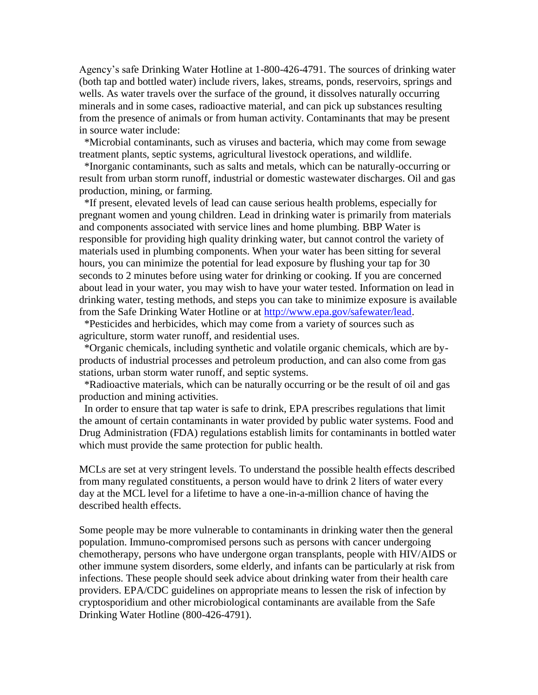Agency's safe Drinking Water Hotline at 1-800-426-4791. The sources of drinking water (both tap and bottled water) include rivers, lakes, streams, ponds, reservoirs, springs and wells. As water travels over the surface of the ground, it dissolves naturally occurring minerals and in some cases, radioactive material, and can pick up substances resulting from the presence of animals or from human activity. Contaminants that may be present in source water include:

 \*Microbial contaminants, such as viruses and bacteria, which may come from sewage treatment plants, septic systems, agricultural livestock operations, and wildlife.

 \*Inorganic contaminants, such as salts and metals, which can be naturally-occurring or result from urban storm runoff, industrial or domestic wastewater discharges. Oil and gas production, mining, or farming.

 \*If present, elevated levels of lead can cause serious health problems, especially for pregnant women and young children. Lead in drinking water is primarily from materials and components associated with service lines and home plumbing. BBP Water is responsible for providing high quality drinking water, but cannot control the variety of materials used in plumbing components. When your water has been sitting for several hours, you can minimize the potential for lead exposure by flushing your tap for 30 seconds to 2 minutes before using water for drinking or cooking. If you are concerned about lead in your water, you may wish to have your water tested. Information on lead in drinking water, testing methods, and steps you can take to minimize exposure is available from the Safe Drinking Water Hotline or at [http://www.epa.gov/safewater/lead.](http://www.epa.gov/safewater/lead)

 \*Pesticides and herbicides, which may come from a variety of sources such as agriculture, storm water runoff, and residential uses.

 \*Organic chemicals, including synthetic and volatile organic chemicals, which are byproducts of industrial processes and petroleum production, and can also come from gas stations, urban storm water runoff, and septic systems.

 \*Radioactive materials, which can be naturally occurring or be the result of oil and gas production and mining activities.

 In order to ensure that tap water is safe to drink, EPA prescribes regulations that limit the amount of certain contaminants in water provided by public water systems. Food and Drug Administration (FDA) regulations establish limits for contaminants in bottled water which must provide the same protection for public health.

MCLs are set at very stringent levels. To understand the possible health effects described from many regulated constituents, a person would have to drink 2 liters of water every day at the MCL level for a lifetime to have a one-in-a-million chance of having the described health effects.

Some people may be more vulnerable to contaminants in drinking water then the general population. Immuno-compromised persons such as persons with cancer undergoing chemotherapy, persons who have undergone organ transplants, people with HIV/AIDS or other immune system disorders, some elderly, and infants can be particularly at risk from infections. These people should seek advice about drinking water from their health care providers. EPA/CDC guidelines on appropriate means to lessen the risk of infection by cryptosporidium and other microbiological contaminants are available from the Safe Drinking Water Hotline (800-426-4791).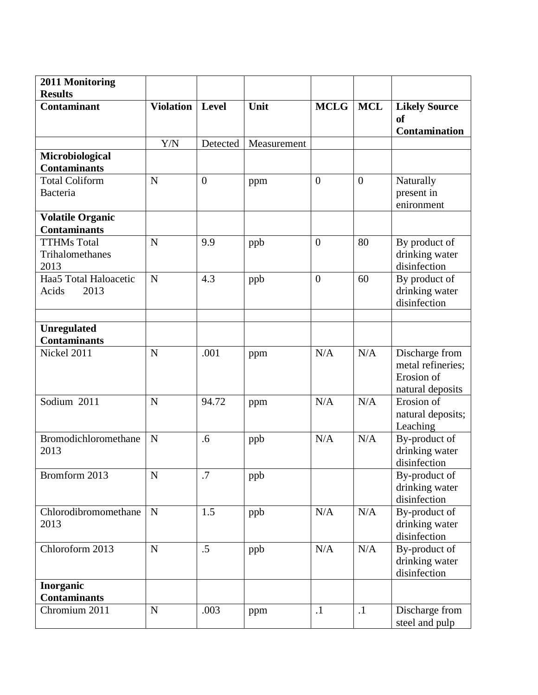| 2011 Monitoring                                |                  |                |             |                |                |                                                                       |
|------------------------------------------------|------------------|----------------|-------------|----------------|----------------|-----------------------------------------------------------------------|
| <b>Results</b>                                 |                  |                |             |                |                |                                                                       |
| <b>Contaminant</b>                             | <b>Violation</b> | Level          | Unit        | <b>MCLG</b>    | <b>MCL</b>     | <b>Likely Source</b><br><b>of</b><br>Contamination                    |
|                                                | Y/N              | Detected       | Measurement |                |                |                                                                       |
| Microbiological                                |                  |                |             |                |                |                                                                       |
| <b>Contaminants</b>                            |                  |                |             |                |                |                                                                       |
| <b>Total Coliform</b><br><b>Bacteria</b>       | N                | $\overline{0}$ | ppm         | $\overline{0}$ | $\overline{0}$ | Naturally<br>present in<br>enironment                                 |
| <b>Volatile Organic</b><br><b>Contaminants</b> |                  |                |             |                |                |                                                                       |
| <b>TTHMs Total</b><br>Trihalomethanes<br>2013  | N                | 9.9            | ppb         | $\overline{0}$ | 80             | By product of<br>drinking water<br>disinfection                       |
| Haa5 Total Haloacetic<br>2013<br>Acids         | N                | 4.3            | ppb         | $\overline{0}$ | 60             | By product of<br>drinking water<br>disinfection                       |
|                                                |                  |                |             |                |                |                                                                       |
| <b>Unregulated</b><br><b>Contaminants</b>      |                  |                |             |                |                |                                                                       |
| Nickel 2011                                    | N                | .001           | ppm         | N/A            | N/A            | Discharge from<br>metal refineries;<br>Erosion of<br>natural deposits |
| Sodium 2011                                    | N                | 94.72          | ppm         | N/A            | N/A            | Erosion of<br>natural deposits;<br>Leaching                           |
| Bromodichloromethane<br>2013                   | N                | .6             | ppb         | N/A            | N/A            | By-product of<br>drinking water<br>disinfection                       |
| Bromform 2013                                  | $\mathbf N$      | .7             | ppb         |                |                | By-product of<br>drinking water<br>disinfection                       |
| Chlorodibromomethane<br>2013                   | N                | 1.5            | ppb         | N/A            | N/A            | By-product of<br>drinking water<br>disinfection                       |
| Chloroform 2013                                | N                | .5             | ppb         | N/A            | N/A            | By-product of<br>drinking water<br>disinfection                       |
| Inorganic<br><b>Contaminants</b>               |                  |                |             |                |                |                                                                       |
| Chromium 2011                                  | N                | .003           | ppm         | $\cdot$ 1      | $\cdot$        | Discharge from<br>steel and pulp                                      |